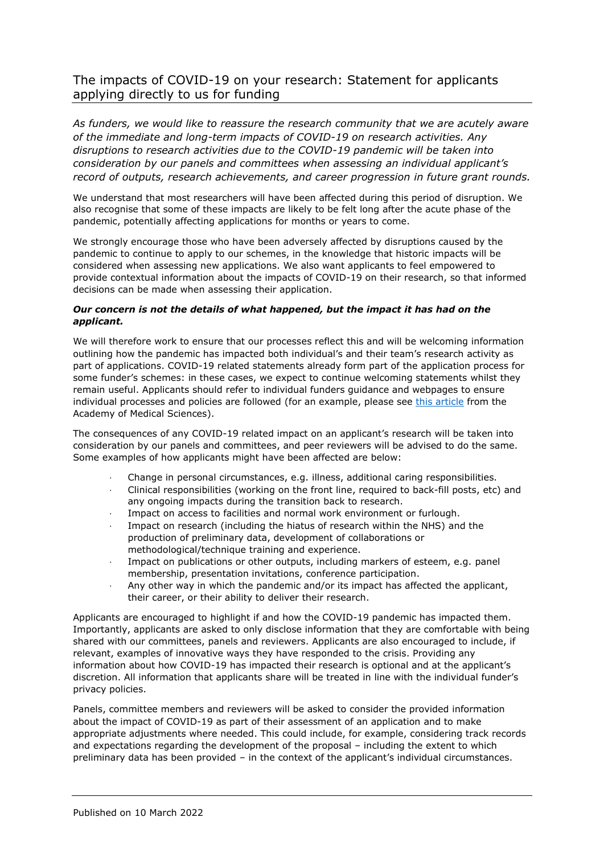## The impacts of COVID-19 on your research: Statement for applicants applying directly to us for funding

*As funders, we would like to reassure the research community that we are acutely aware of the immediate and long-term impacts of COVID-19 on research activities. Any disruptions to research activities due to the COVID-19 pandemic will be taken into consideration by our panels and committees when assessing an individual applicant's record of outputs, research achievements, and career progression in future grant rounds.*

We understand that most researchers will have been affected during this period of disruption. We also recognise that some of these impacts are likely to be felt long after the acute phase of the pandemic, potentially affecting applications for months or years to come.

We strongly encourage those who have been adversely affected by disruptions caused by the pandemic to continue to apply to our schemes, in the knowledge that historic impacts will be considered when assessing new applications. We also want applicants to feel empowered to provide contextual information about the impacts of COVID-19 on their research, so that informed decisions can be made when assessing their application.

## *Our concern is not the details of what happened, but the impact it has had on the applicant.*

We will therefore work to ensure that our processes reflect this and will be welcoming information outlining how the pandemic has impacted both individual's and their team's research activity as part of applications. COVID-19 related statements already form part of the application process for some funder's schemes: in these cases, we expect to continue welcoming statements whilst they remain useful. Applicants should refer to individual funders guidance and webpages to ensure individual processes and policies are followed (for an example, please see [this article](https://acmedsci.ac.uk/more/news/top-tips-for-factoring-covid-19-into-grant-applications) from the Academy of Medical Sciences).

The consequences of any COVID-19 related impact on an applicant's research will be taken into consideration by our panels and committees, and peer reviewers will be advised to do the same. Some examples of how applicants might have been affected are below:

- · Change in personal circumstances, e.g. illness, additional caring responsibilities.
- · Clinical responsibilities (working on the front line, required to back-fill posts, etc) and any ongoing impacts during the transition back to research.
- Impact on access to facilities and normal work environment or furlough.
- Impact on research (including the hiatus of research within the NHS) and the production of preliminary data, development of collaborations or methodological/technique training and experience.
- Impact on publications or other outputs, including markers of esteem, e.g. panel membership, presentation invitations, conference participation.
- · Any other way in which the pandemic and/or its impact has affected the applicant, their career, or their ability to deliver their research.

Applicants are encouraged to highlight if and how the COVID-19 pandemic has impacted them. Importantly, applicants are asked to only disclose information that they are comfortable with being shared with our committees, panels and reviewers. Applicants are also encouraged to include, if relevant, examples of innovative ways they have responded to the crisis. Providing any information about how COVID-19 has impacted their research is optional and at the applicant's discretion. All information that applicants share will be treated in line with the individual funder's privacy policies.

Panels, committee members and reviewers will be asked to consider the provided information about the impact of COVID-19 as part of their assessment of an application and to make appropriate adjustments where needed. This could include, for example, considering track records and expectations regarding the development of the proposal – including the extent to which preliminary data has been provided – in the context of the applicant's individual circumstances.